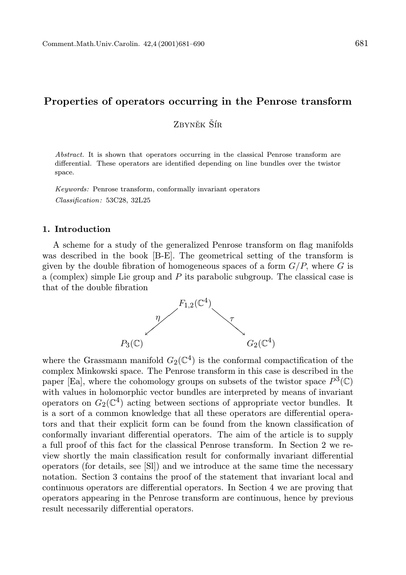# Properties of operators occurring in the Penrose transform

Zbyněk Šír

Abstract. It is shown that operators occurring in the classical Penrose transform are differential. These operators are identified depending on line bundles over the twistor space.

Keywords: Penrose transform, conformally invariant operators Classification: 53C28, 32L25

# 1. Introduction

A scheme for a study of the generalized Penrose transform on flag manifolds was described in the book [B-E]. The geometrical setting of the transform is given by the double fibration of homogeneous spaces of a form  $G/P$ , where G is a (complex) simple Lie group and  $P$  its parabolic subgroup. The classical case is that of the double fibration



where the Grassmann manifold  $G_2(\mathbb{C}^4)$  is the conformal compactification of the complex Minkowski space. The Penrose transform in this case is described in the paper [Ea], where the cohomology groups on subsets of the twistor space  $P^3(\mathbb{C})$ with values in holomorphic vector bundles are interpreted by means of invariant operators on  $G_2(\mathbb{C}^4)$  acting between sections of appropriate vector bundles. It is a sort of a common knowledge that all these operators are differential operators and that their explicit form can be found from the known classification of conformally invariant differential operators. The aim of the article is to supply a full proof of this fact for the classical Penrose transform. In Section 2 we review shortly the main classification result for conformally invariant differential operators (for details, see [Sl]) and we introduce at the same time the necessary notation. Section 3 contains the proof of the statement that invariant local and continuous operators are differential operators. In Section 4 we are proving that operators appearing in the Penrose transform are continuous, hence by previous result necessarily differential operators.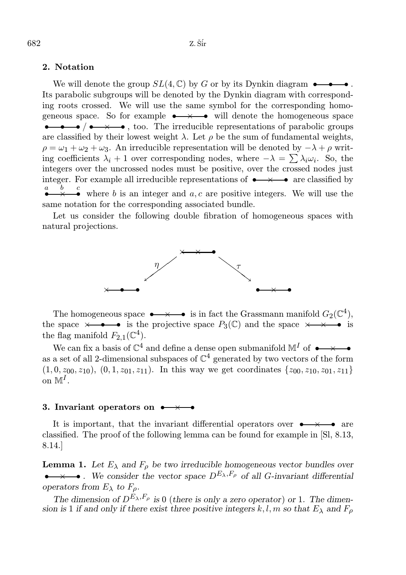# 2. Notation

We will denote the group  $SL(4,\mathbb{C})$  by G or by its Dynkin diagram  $\bullet \bullet \bullet \bullet$ . Its parabolic subgroups will be denoted by the Dynkin diagram with corresponding roots crossed. We will use the same symbol for the corresponding homogeneous space. So for example  $\rightarrow \rightarrow \bullet$  will denote the homogeneous space  $\bullet \bullet \bullet$  /  $\bullet \times \bullet$ , too. The irreducible representations of parabolic groups are classified by their lowest weight  $\lambda$ . Let  $\rho$  be the sum of fundamental weights,  $\rho = \omega_1 + \omega_2 + \omega_3$ . An irreducible representation will be denoted by  $-\lambda + \rho$  writing coefficients  $\lambda_i + 1$  over corresponding nodes, where  $-\lambda = \sum \lambda_i \omega_i$ . So, the integers over the uncrossed nodes must be positive, over the crossed nodes just integer. For example all irreducible representations of  $\rightarrow \rightarrow \rightarrow \infty$  are classified by a • b × • where b is an integer and  $a, c$  are positive integers. We will use the same notation for the corresponding associated bundle.

Let us consider the following double fibration of homogeneous spaces with natural projections.



The homogeneous space  $\bullet \longrightarrow \bullet$  is in fact the Grassmann manifold  $G_2(\mathbb{C}^4)$ , the space  $\times \bullet \bullet$  is the projective space  $P_3(\mathbb{C})$  and the space  $\times \bullet \bullet$  is the flag manifold  $F_{2,1}(\mathbb{C}^4)$ .

We can fix a basis of  $\mathbb{C}^4$  and define a dense open submanifold  $\mathbb{M}^I$  of  $\bullet \rightarrow \bullet$ as a set of all 2-dimensional subspaces of  $\mathbb{C}^4$  generated by two vectors of the form  $(1, 0, z_{00}, z_{10}), (0, 1, z_{01}, z_{11}).$  In this way we get coordinates  $\{z_{00}, z_{10}, z_{01}, z_{11}\}$ on  $\mathbb{M}^I$ .

### 3. Invariant operators on  $\bullet \rightarrow \bullet$

It is important, that the invariant differential operators over  $\bullet \rightarrow \bullet$  are classified. The proof of the following lemma can be found for example in [Sl, 8.13, 8.14.]

**Lemma 1.** Let  $E_{\lambda}$  and  $F_{\rho}$  be two irreducible homogeneous vector bundles over •  $\rightarrow \rightarrow \rightarrow$  We consider the vector space  $D^{E_{\lambda}, F_{\rho}}$  of all G-invariant differential operators from  $E_{\lambda}$  to  $F_{\rho}$ .

The dimension of  $D^{E_{\lambda},F_{\rho}}$  is 0 (there is only a zero operator) or 1. The dimension is 1 if and only if there exist three positive integers  $k, l, m$  so that  $E_{\lambda}$  and  $F_{\rho}$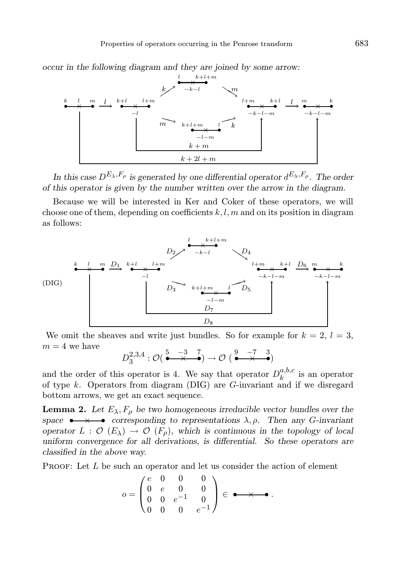occur in the following diagram and they are joined by some arrow:



In this case  $D^{E_{\lambda}, F_{\rho}}$  is generated by one differential operator  $d^{E_{\lambda}, F_{\rho}}$ . The order of this operator is given by the number written over the arrow in the diagram.

Because we will be interested in Ker and Coker of these operators, we will choose one of them, depending on coefficients  $k, l, m$  and on its position in diagram as follows:



We omit the sheaves and write just bundles. So for example for  $k = 2$ ,  $l = 3$ ,  $m = 4$  we have

$$
D_3^{2,3,4}: \mathcal{O}(\stackrel{5}{\bullet}\stackrel{-3}{\bullet}\stackrel{7}{\bullet})\rightarrow \mathcal{O}(\stackrel{9}{\bullet}\stackrel{-7}{\bullet}\stackrel{3}{\bullet})
$$

and the order of this operator is 4. We say that operator  $D_k^{a,b,c}$  $\frac{a, o, c}{k}$  is an operator of type k. Operators from diagram  $(DIG)$  are G-invariant and if we disregard bottom arrows, we get an exact sequence.

**Lemma 2.** Let  $E_{\lambda}$ ,  $F_{\rho}$  be two homogeneous irreducible vector bundles over the space  $\bullet \rightarrow \bullet$  corresponding to representations  $\lambda, \rho$ . Then any G-invariant operator  $L : \mathcal{O}(E_\lambda) \to \mathcal{O}(F_\rho)$ , which is continuous in the topology of local uniform convergence for all derivations, is differential. So these operators are classified in the above way.

PROOF: Let L be such an operator and let us consider the action of element

$$
o = \begin{pmatrix} e & 0 & 0 & 0 \\ 0 & e & 0 & 0 \\ 0 & 0 & e^{-1} & 0 \\ 0 & 0 & 0 & e^{-1} \end{pmatrix} \in \bullet \longrightarrow \bullet.
$$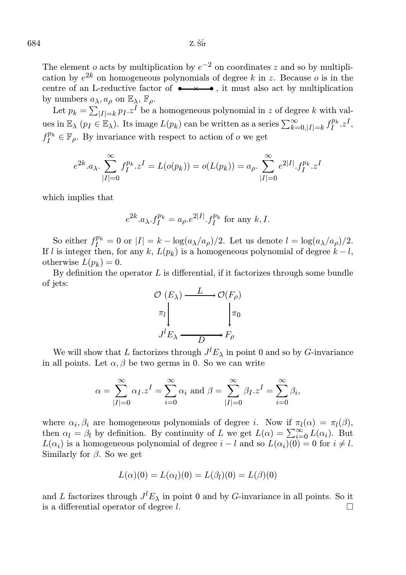The element o acts by multiplication by  $e^{-2}$  on coordinates z and so by multiplication by  $e^{2k}$  on homogeneous polynomials of degree k in z. Because o is in the centre of an L-reductive factor of  $\bullet \rightarrow \bullet$ , it must also act by multiplication by numbers  $a_{\lambda}, a_{\rho}$  on  $\mathbb{E}_{\lambda}$ ,  $\mathbb{F}_{\rho}$ .

Let  $p_k = \sum_{|I|=k} p_I z^I$  be a homogeneous polynomial in z of degree k with values in  $\mathbb{E}_{\lambda}$   $(p_I \in \mathbb{E}_{\lambda})$ . Its image  $L(p_k)$  can be written as a series  $\sum_{k=0,|I|=k}^{\infty} f_I^{p_k} z^I$ ,  $f_I^{p_k} \in \mathbb{F}_\rho$ . By invariance with respect to action of  $o$  we get

$$
e^{2k} \cdot a_{\lambda} \cdot \sum_{|I|=0}^{\infty} f_I^{p_k} \cdot z^I = L(o(p_k)) = o(L(p_k)) = a_{\rho} \cdot \sum_{|I|=0}^{\infty} e^{2|I|} \cdot f_I^{p_k} \cdot z^I
$$

which implies that

$$
e^{2k} \cdot a_{\lambda} f_I^{p_k} = a_{\rho} e^{2|I|} \cdot f_I^{p_k}
$$
 for any  $k, I$ .

So either  $f_I^{p_k} = 0$  or  $|I| = k - \log(a_\lambda/a_\rho)/2$ . Let us denote  $l = \log(a_\lambda/a_\rho)/2$ . If l is integer then, for any k,  $L(p_k)$  is a homogeneous polynomial of degree  $k - l$ , otherwise  $L(p_k) = 0$ .

By definition the operator  $L$  is differential, if it factorizes through some bundle of jets:



We will show that L factorizes through  $J^{l}E_{\lambda}$  in point 0 and so by G-invariance in all points. Let  $\alpha$ ,  $\beta$  be two germs in 0. So we can write

$$
\alpha = \sum_{|I|=0}^{\infty} \alpha_I . z^I = \sum_{i=0}^{\infty} \alpha_i \text{ and } \beta = \sum_{|I|=0}^{\infty} \beta_I . z^I = \sum_{i=0}^{\infty} \beta_i,
$$

where  $\alpha_i, \beta_i$  are homogeneous polynomials of degree *i*. Now if  $\pi_l(\alpha) = \pi_l(\beta)$ , then  $\alpha_l = \beta_l$  by definition. By continuity of L we get  $L(\alpha) = \sum_{i=0}^{\infty} L(\alpha_i)$ . But  $L(\alpha_i)$  is a homogeneous polynomial of degree  $i - l$  and so  $L(\alpha_i)(0) = 0$  for  $i \neq l$ . Similarly for  $\beta$ . So we get

$$
L(\alpha)(0) = L(\alpha_l)(0) = L(\beta_l)(0) = L(\beta)(0)
$$

and L factorizes through  $J^{l}E_{\lambda}$  in point 0 and by G-invariance in all points. So it is a differential operator of degree  $l$ .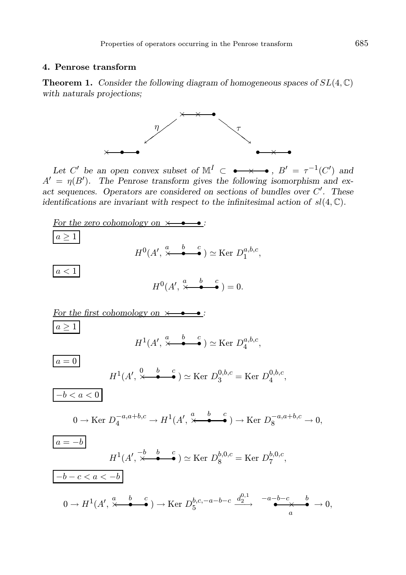# 4. Penrose transform

**Theorem 1.** Consider the following diagram of homogeneous spaces of  $SL(4, \mathbb{C})$ with naturals projections;



Let C' be an open convex subset of  $\mathbb{M}^I \subset \bullet \longrightarrow \bullet$ ,  $B' = \tau^{-1}(C')$  and  $A' = \eta(B')$ . The Penrose transform gives the following isomorphism and exact sequences. Operators are considered on sections of bundles over  $C'$ . These identifications are invariant with respect to the infinitesimal action of  $sl(4,\mathbb{C})$ .

For the zero cohomology on 
$$
\times
$$
   
\n
$$
\frac{a \ge 1}{a \ge 1}
$$
\n
$$
H^{0}(A', \stackrel{a}{\times} \stackrel{b}{\bullet} \stackrel{c}{\bullet}) \simeq \text{Ker } D_1^{a,b,c},
$$
\n
$$
\frac{a < 1}{a \ge 1}
$$
\n
$$
H^{1}(A', \stackrel{a}{\times} \stackrel{b}{\bullet} \stackrel{c}{\bullet}) = 0.
$$
\n\nFor the first cohomology on  $\times$    
\n
$$
\frac{a \ge 1}{a \ge 1}
$$
\n
$$
H^{1}(A', \stackrel{a}{\times} \stackrel{b}{\bullet} \stackrel{c}{\bullet}) \simeq \text{Ker } D_4^{a,b,c},
$$
\n
$$
\frac{a = 0}{-b < a < 0}
$$
\n
$$
0 \to \text{Ker } D_4^{-a,a+b,c} \to H^{1}(A', \stackrel{a}{\times} \stackrel{b}{\bullet} \stackrel{c}{\bullet}) \to \text{Ker } D_8^{-a,a+b,c} \to 0,
$$
\n
$$
\frac{a = -b}{a = -b}
$$
\n
$$
H^{1}(A', \stackrel{b}{\times} \stackrel{b}{\bullet} \stackrel{c}{\bullet}) \simeq \text{Ker } D_8^{b,0,c} = \text{Ker } D_7^{b,0,c},
$$
\n
$$
\frac{-b - c < a < -b}{0 \to H^{1}(A', \stackrel{a}{\times} \stackrel{b}{\bullet} \stackrel{c}{\bullet}) \to \text{Ker } D_5^{b,c,-a-b-c} \xrightarrow{d_2^{0,1}} \xrightarrow{-a-b-c} \xrightarrow{b} \to 0,
$$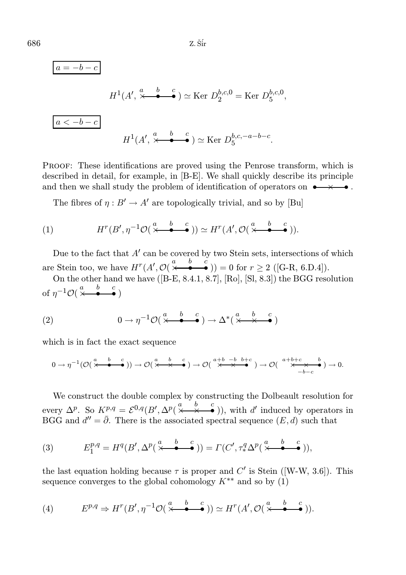$$
a = -b - c
$$
  
\n
$$
H^{1}(A', \stackrel{a}{\times} \stackrel{b}{\bullet} \stackrel{c}{\bullet}) \simeq \text{Ker } D_2^{b,c,0} = \text{Ker } D_5^{b,c,0},
$$
  
\n
$$
a < -b - c
$$
  
\n
$$
H^{1}(A', \stackrel{a}{\times} \stackrel{b}{\bullet} \stackrel{c}{\bullet}) \simeq \text{Ker } D_5^{b,c,-a-b-c}.
$$

Proof: These identifications are proved using the Penrose transform, which is described in detail, for example, in [B-E]. We shall quickly describe its principle and then we shall study the problem of identification of operators on  $\bullet \rightarrow \bullet$ .

The fibres of  $\eta : B' \to A'$  are topologically trivial, and so by [Bu]

(1) 
$$
H^r(B', \eta^{-1}\mathcal{O}(\stackrel{a}{\times}\stackrel{b}{\bullet}\stackrel{c}{\bullet})) \simeq H^r(A', \mathcal{O}(\stackrel{a}{\times}\stackrel{b}{\bullet}\stackrel{c}{\bullet})).
$$

Due to the fact that  $A'$  can be covered by two Stein sets, intersections of which are Stein too, we have  $H^r(A', \mathcal{O}(\stackrel{a}{\times} \stackrel{b}{\bullet} \stackrel{c}{\bullet})) = 0$  for  $r \geq 2$  ([G-R, 6.D.4]).

On the other hand we have ([B-E, 8.4.1, 8.7], [Ro], [Sl, 8.3]) the BGG resolution of  $\eta^{-1}\mathcal{O}(\stackrel{a}{\times}\stackrel{b}{\bullet}\stackrel{c}{\bullet})$ 

(2) 
$$
0 \to \eta^{-1} \mathcal{O}(\stackrel{a}{\times} \stackrel{b}{\bullet} \stackrel{c}{\bullet}) \to \Delta^*(\stackrel{a}{\times} \stackrel{b}{\times} \stackrel{c}{\bullet})
$$

which is in fact the exact sequence

$$
0 \to \eta^{-1}(\mathcal{O}(\stackrel{a}{\times} \stackrel{b}{\bullet} \stackrel{c}{\bullet})) \to \mathcal{O}(\stackrel{a}{\times} \stackrel{b}{\times} \stackrel{c}{\bullet}) \to \mathcal{O}(\stackrel{a+b}{\times} \stackrel{b+c}{\times} \stackrel{b+c}{\bullet}) \to \mathcal{O}(\stackrel{a+b+c}{\times} \stackrel{b}{\times} \stackrel{b}{\times} \stackrel{b}{\bullet}) \to 0.
$$

We construct the double complex by constructing the Dolbeault resolution for every  $\Delta^p$ . So  $K^{p,q} = \mathcal{E}^{0,q}(B', \Delta^p(\frac{a}{\times \cdot \cdot \cdot} \cdot \bullet))$ , with d' induced by operators in BGG and  $d'' = \overline{\partial}$ . There is the associated spectral sequence  $(E, d)$  such that

(3) 
$$
E_1^{p,q} = H^q(B', \Delta^p(\stackrel{a}{\times} \stackrel{b}{\bullet} \stackrel{c}{\bullet})) = \Gamma(C', \tau_*^q \Delta^p(\stackrel{a}{\times} \stackrel{b}{\bullet} \stackrel{c}{\bullet})),
$$

the last equation holding because  $\tau$  is proper and  $C'$  is Stein ([W-W, 3.6]). This sequence converges to the global cohomology  $K^{**}$  and so by  $(1)$ 

(4) 
$$
E^{p,q} \Rightarrow H^r(B', \eta^{-1}\mathcal{O}(\stackrel{a}{\times} \stackrel{b}{\bullet} \stackrel{c}{\bullet})) \simeq H^r(A', \mathcal{O}(\stackrel{a}{\times} \stackrel{b}{\bullet} \stackrel{c}{\bullet})).
$$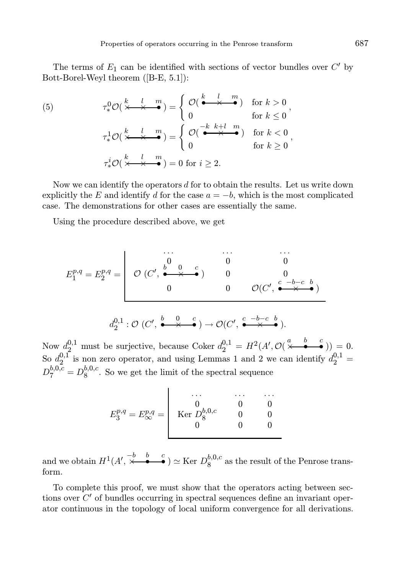The terms of  $E_1$  can be identified with sections of vector bundles over  $C'$  by Bott-Borel-Weyl theorem ([B-E, 5.1]):

(5) 
$$
\tau_*^0 \mathcal{O}(\frac{k}{\times \times \times \bullet}) = \begin{cases} \mathcal{O}(\stackrel{k}{\bullet \times \bullet}) & \text{for } k > 0 \\ 0 & \text{for } k \le 0 \end{cases},
$$

$$
\tau_*^1 \mathcal{O}(\stackrel{k}{\times \times \bullet}) = \begin{cases} \mathcal{O}(\stackrel{-k}{\bullet \times \bullet}) & \text{for } k < 0 \\ 0 & \text{for } k \ge 0 \end{cases},
$$

$$
\tau_*^i \mathcal{O}(\stackrel{k}{\times \times \bullet}) = 0 \text{ for } i \ge 2.
$$

Now we can identify the operators  $d$  for to obtain the results. Let us write down explicitly the E and identify d for the case  $a = -b$ , which is the most complicated case. The demonstrations for other cases are essentially the same.

Using the procedure described above, we get

E p,q <sup>1</sup> = E p,q <sup>2</sup> = . . . . . . . . . 0 0 0 O (C ′ , b • 0 × c • ) 0 0 0 0 O(C ′ , c • −b−c × b • )

$$
d_2^{0,1} : \mathcal{O}(C', \stackrel{b}{\bullet \bullet \times \bullet}) \to \mathcal{O}(C', \stackrel{c}{\bullet \times \bullet}).
$$

Now  $d_2^{0,1}$  must be surjective, because Coker  $d_2^{0,1} = H^2(A', \mathcal{O}(\frac{a}{\epsilon} \stackrel{b}{\bullet} \frac{c}{\epsilon})) = 0.$ So  $d_2^{0,1}$  $\mu_2^{0,1}$  is non zero operator, and using Lemmas 1 and 2 we can identify  $d_2^{0,1} =$  $D_7^{b,0,c} = D_8^{b,0,c}$  $8^{0,0,0}$ . So we get the limit of the spectral sequence

$$
E_3^{p,q} = E_{\infty}^{p,q} = \begin{vmatrix} \cdots & \cdots & \cdots \\ 0 & 0 & 0 \\ \operatorname{Ker} D_8^{b,0,c} & 0 & 0 \\ 0 & 0 & 0 \end{vmatrix}
$$

and we obtain  $H^1(A', \stackrel{-b}{\times} \stackrel{b}{\bullet} \stackrel{c}{\bullet}) \simeq \text{Ker } D_8^{b,0,c}$  $8^{0,0,C}$  as the result of the Penrose transform.

To complete this proof, we must show that the operators acting between sections over  $C'$  of bundles occurring in spectral sequences define an invariant operator continuous in the topology of local uniform convergence for all derivations.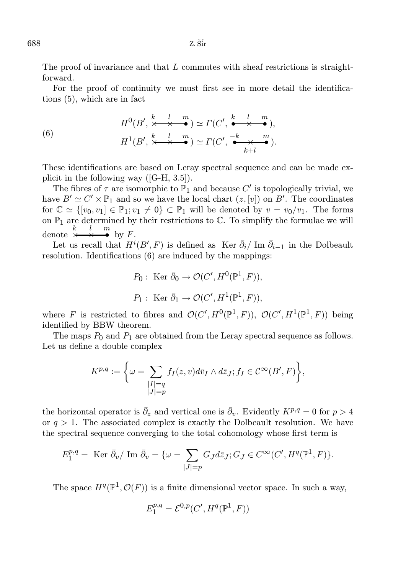The proof of invariance and that L commutes with sheaf restrictions is straightforward.

For the proof of continuity we must first see in more detail the identifications (5), which are in fact

(6) 
$$
H^{0}(B', \stackrel{k}{\times} \stackrel{l}{\times} \stackrel{m}{\bullet}) \simeq \Gamma(C', \stackrel{k}{\bullet} \stackrel{l}{\times} \stackrel{m}{\bullet}),
$$

$$
H^{1}(B', \stackrel{k}{\times} \stackrel{l}{\times} \stackrel{m}{\bullet}) \simeq \Gamma(C', \stackrel{-k}{\bullet} \stackrel{m}{\times} \stackrel{m}{\bullet}).
$$

These identifications are based on Leray spectral sequence and can be made explicit in the following way ([G-H, 3.5]).

The fibres of  $\tau$  are isomorphic to  $\mathbb{P}_1$  and because  $C'$  is topologically trivial, we have  $B' \simeq C' \times \mathbb{P}_1$  and so we have the local chart  $(z, [v])$  on  $B'$ . The coordinates for  $\mathbb{C} \simeq \{ [v_0, v_1] \in \mathbb{P}_1; v_1 \neq 0 \} \subset \mathbb{P}_1$  will be denoted by  $v = v_0/v_1$ . The forms on  $\mathbb{P}_1$  are determined by their restrictions to  $\mathbb{C}$ . To simplify the formulae we will denote  $\stackrel{k}{\times} \stackrel{l}{\longrightarrow} \stackrel{m}{\bullet}$  by F.

Let us recall that  $H^{i}(B', F)$  is defined as Ker  $\bar{\partial}_{i}/\text{Im } \bar{\partial}_{i-1}$  in the Dolbeault resolution. Identifications (6) are induced by the mappings:

$$
P_0: \text{ Ker } \bar{\partial}_0 \to \mathcal{O}(C', H^0(\mathbb{P}^1, F)),
$$
  

$$
P_1: \text{ Ker } \bar{\partial}_1 \to \mathcal{O}(C', H^1(\mathbb{P}^1, F)),
$$

where F is restricted to fibres and  $\mathcal{O}(C', H^0(\mathbb{P}^1, F))$ ,  $\mathcal{O}(C', H^1(\mathbb{P}^1, F))$  being identified by BBW theorem.

The maps  $P_0$  and  $P_1$  are obtained from the Leray spectral sequence as follows. Let us define a double complex

$$
K^{p,q} := \bigg\{\omega = \sum_{\substack{|I| = q \\ |J| = p}} f_I(z, v) d\bar{v}_I \wedge d\bar{z}_J; f_I \in \mathcal{C}^{\infty}(B', F)\bigg\},\
$$

the horizontal operator is  $\bar{\partial}_z$  and vertical one is  $\bar{\partial}_v$ . Evidently  $K^{p,q} = 0$  for  $p > 4$ or  $q > 1$ . The associated complex is exactly the Dolbeault resolution. We have the spectral sequence converging to the total cohomology whose first term is

$$
E_1^{p,q} = \text{ Ker } \bar{\partial}_v / \text{ Im } \bar{\partial}_v = \{ \omega = \sum_{|J|=p} G_J d\bar{z}_J; G_J \in C^{\infty}(C', H^q(\mathbb{P}^1, F) \}.
$$

The space  $H^q(\mathbb{P}^1, \mathcal{O}(F))$  is a finite dimensional vector space. In such a way,

$$
E_1^{p,q} = \mathcal{E}^{0,p}(C',H^q(\mathbb{P}^1,F))
$$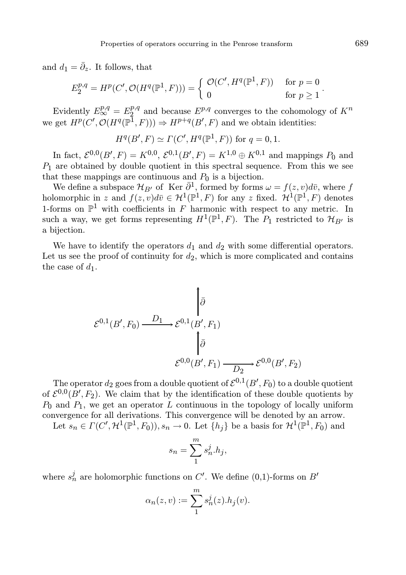and  $d_1 = \overline{\partial}_z$ . It follows, that

$$
E_2^{p,q}=H^p(C',\mathcal{O}(H^q(\mathbb{P}^1,F)))=\left\{\begin{array}{ll}\mathcal{O}(C',H^q(\mathbb{P}^1,F))&\text{ for }p=0\\0&\text{ for }p\geq 1\end{array}.\right.
$$

Evidently  $E_{\infty}^{p,q} = E_2^{p,q}$  $2^{p,q}$  and because  $E^{p,q}$  converges to the cohomology of  $K^n$ we get  $H^p(C', \mathcal{O}(H^q(\mathbb{P}^1, F))) \Rightarrow H^{p+q}(B', F)$  and we obtain identities:

$$
H^q(B', F) \simeq \Gamma(C', H^q(\mathbb{P}^1, F)) \text{ for } q = 0, 1.
$$

In fact,  $\mathcal{E}^{0,0}(B',F) = K^{0,0}, \, \mathcal{E}^{0,1}(B',F) = K^{1,0} \oplus K^{0,1}$  and mappings  $P_0$  and  $P_1$  are obtained by double quotient in this spectral sequence. From this we see that these mappings are continuous and  $P_0$  is a bijection.

We define a subspace  $\mathcal{H}_{B'}$  of Ker  $\bar{\partial}^1$ , formed by forms  $\omega = f(z, v)d\bar{v}$ , where f holomorphic in z and  $f(z, v)d\overline{v} \in H^1(\mathbb{P}^1, F)$  for any z fixed.  $H^1(\mathbb{P}^1, F)$  denotes 1-forms on  $\mathbb{P}^1$  with coefficients in F harmonic with respect to any metric. In such a way, we get forms representing  $H^1(\mathbb{P}^1, F)$ . The  $P_1$  restricted to  $\mathcal{H}_{B'}$  is a bijection.

We have to identify the operators  $d_1$  and  $d_2$  with some differential operators. Let us see the proof of continuity for  $d_2$ , which is more complicated and contains the case of  $d_1$ .

$$
\varepsilon^{0,1}(B', F_0) \xrightarrow{D_1} \varepsilon^{0,1}(B', F_1)
$$

$$
\downarrow \bar{\partial}
$$

$$
\varepsilon^{0,0}(B', F_1) \xrightarrow{D_2} \varepsilon^{0,0}(B', F_2)
$$

The operator  $d_2$  goes from a double quotient of  $\mathcal{E}^{0,1}(B',F_0)$  to a double quotient of  $\mathcal{E}^{0,0}(B',F_2)$ . We claim that by the identification of these double quotients by  $P_0$  and  $P_1$ , we get an operator L continuous in the topology of locally uniform convergence for all derivations. This convergence will be denoted by an arrow.

Let  $s_n \in \Gamma(C', \mathcal{H}^1(\mathbb{P}^1, F_0)), s_n \to 0$ . Let  $\{h_j\}$  be a basis for  $\mathcal{H}^1(\mathbb{P}^1, F_0)$  and

$$
s_n = \sum_{1}^{m} s_n^j . h_j,
$$

where  $s_n^j$  are holomorphic functions on  $C'$ . We define (0,1)-forms on  $B'$ 

$$
\alpha_n(z,v) := \sum_1^m s_n^j(z) . h_j(v).
$$